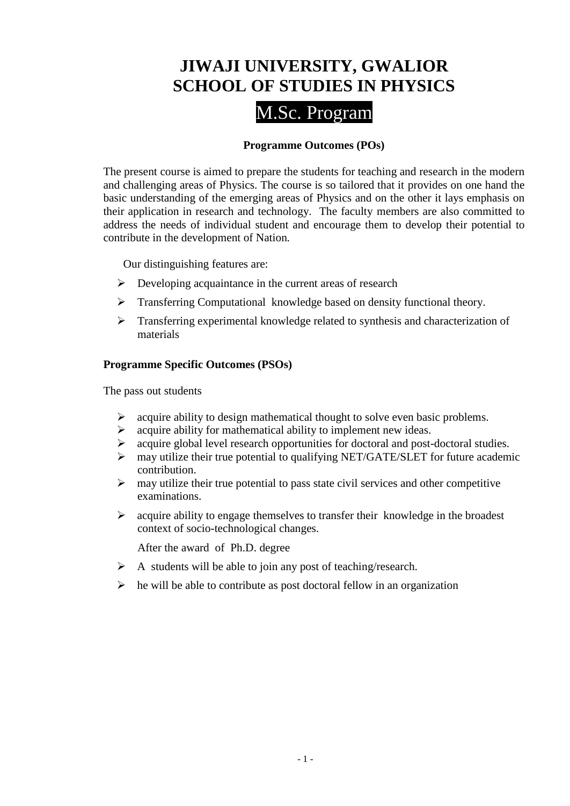# **JIWAJI UNIVERSITY, GWALIOR SCHOOL OF STUDIES IN PHYSICS**

# M.Sc. Program

# **Programme Outcomes (POs)**

The present course is aimed to prepare the students for teaching and research in the modern and challenging areas of Physics. The course is so tailored that it provides on one hand the basic understanding of the emerging areas of Physics and on the other it lays emphasis on their application in research and technology. The faculty members are also committed to address the needs of individual student and encourage them to develop their potential to contribute in the development of Nation*.*

Our distinguishing features are:

- $\triangleright$  Developing acquaintance in the current areas of research
- **Transferring Computational knowledge based on density functional theory.**
- Transferring experimental knowledge related to synthesis and characterization of materials

# **Programme Specific Outcomes (PSOs)**

The pass out students

- $\triangleright$  acquire ability to design mathematical thought to solve even basic problems.
- $\triangleright$  acquire ability for mathematical ability to implement new ideas.
- acquire global level research opportunities for doctoral and post-doctoral studies.
- $\triangleright$  may utilize their true potential to qualifying NET/GATE/SLET for future academic contribution.
- $\triangleright$  may utilize their true potential to pass state civil services and other competitive examinations.
- $\triangleright$  acquire ability to engage themselves to transfer their knowledge in the broadest context of socio-technological changes.

After the award of Ph.D. degree

- $\triangleright$  A students will be able to join any post of teaching/research.
- $\triangleright$  he will be able to contribute as post doctoral fellow in an organization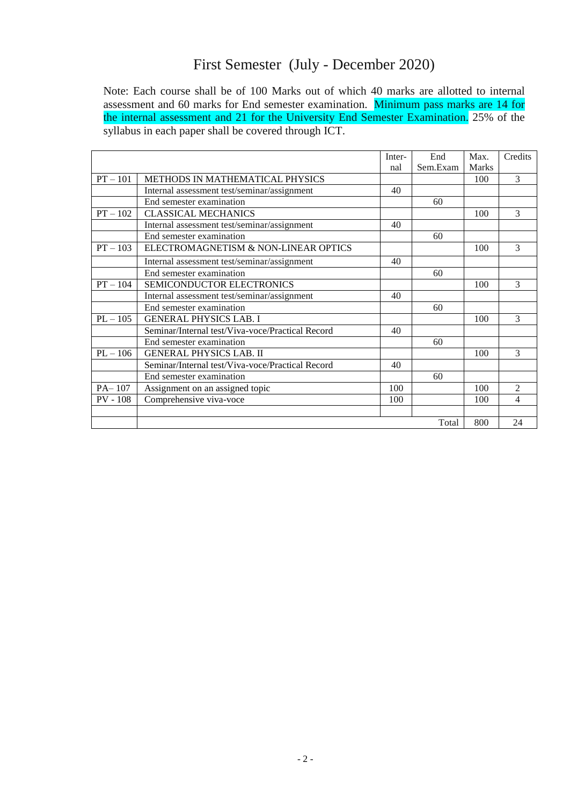# First Semester (July - December 2020)

Note: Each course shall be of 100 Marks out of which 40 marks are allotted to internal assessment and 60 marks for End semester examination. Minimum pass marks are 14 for the internal assessment and 21 for the University End Semester Examination. 25% of the syllabus in each paper shall be covered through ICT.

|            |                                                  | Inter- | End      | Max.         | Credits       |
|------------|--------------------------------------------------|--------|----------|--------------|---------------|
|            |                                                  | nal    | Sem.Exam | <b>Marks</b> |               |
| $PT - 101$ | METHODS IN MATHEMATICAL PHYSICS                  |        |          | 100          | 3             |
|            | Internal assessment test/seminar/assignment      | 40     |          |              |               |
|            | End semester examination                         |        | 60       |              |               |
| $PT - 102$ | <b>CLASSICAL MECHANICS</b>                       |        |          | 100          | 3             |
|            | Internal assessment test/seminar/assignment      | 40     |          |              |               |
|            | End semester examination                         |        | 60       |              |               |
| $PT - 103$ | ELECTROMAGNETISM & NON-LINEAR OPTICS             |        |          | 100          | $\mathcal{F}$ |
|            | Internal assessment test/seminar/assignment      | 40     |          |              |               |
|            | End semester examination                         |        | 60       |              |               |
| $PT - 104$ | SEMICONDUCTOR ELECTRONICS                        |        |          | 100          | 3             |
|            | Internal assessment test/seminar/assignment      | 40     |          |              |               |
|            | End semester examination                         |        | 60       |              |               |
| $PL - 105$ | <b>GENERAL PHYSICS LAB. I</b>                    |        |          | 100          | 3             |
|            | Seminar/Internal test/Viva-voce/Practical Record | 40     |          |              |               |
|            | End semester examination                         |        | 60       |              |               |
| $PL - 106$ | <b>GENERAL PHYSICS LAB. II</b>                   |        |          | 100          | 3             |
|            | Seminar/Internal test/Viva-voce/Practical Record | 40     |          |              |               |
|            | End semester examination                         |        | 60       |              |               |
| $PA-107$   | Assignment on an assigned topic                  | 100    |          | 100          | 2             |
| $PV - 108$ | Comprehensive viva-voce                          | 100    |          | 100          | 4             |
|            |                                                  |        |          |              |               |
|            |                                                  |        | Total    | 800          | 24            |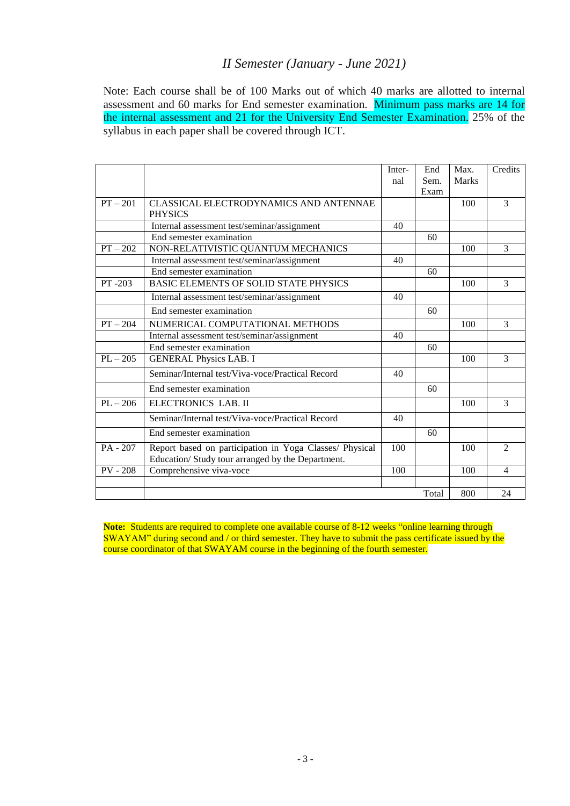# *II Semester (January - June 2021)*

Note: Each course shall be of 100 Marks out of which 40 marks are allotted to internal assessment and 60 marks for End semester examination. Minimum pass marks are 14 for the internal assessment and 21 for the University End Semester Examination. 25% of the syllabus in each paper shall be covered through ICT.

|            |                                                         | Inter- | End   | Max.  | Credits        |
|------------|---------------------------------------------------------|--------|-------|-------|----------------|
|            |                                                         | nal    | Sem.  | Marks |                |
|            |                                                         |        | Exam  |       |                |
| $PT - 201$ | CLASSICAL ELECTRODYNAMICS AND ANTENNAE                  |        |       | 100   | 3              |
|            | <b>PHYSICS</b>                                          |        |       |       |                |
|            | Internal assessment test/seminar/assignment             | 40     |       |       |                |
|            | End semester examination                                |        | 60    |       |                |
| $PT - 202$ | NON-RELATIVISTIC QUANTUM MECHANICS                      |        |       | 100   | 3              |
|            | Internal assessment test/seminar/assignment             | 40     |       |       |                |
|            | End semester examination                                |        | 60    |       |                |
| PT-203     | BASIC ELEMENTS OF SOLID STATE PHYSICS                   |        |       | 100   | 3              |
|            | Internal assessment test/seminar/assignment             | 40     |       |       |                |
|            | End semester examination                                |        | 60    |       |                |
| $PT - 204$ | NUMERICAL COMPUTATIONAL METHODS                         |        |       | 100   | 3              |
|            | Internal assessment test/seminar/assignment             | 40     |       |       |                |
|            | End semester examination                                |        | 60    |       |                |
| $PL - 205$ | <b>GENERAL Physics LAB. I</b>                           |        |       | 100   | 3              |
|            | Seminar/Internal test/Viva-voce/Practical Record        | 40     |       |       |                |
|            | End semester examination                                |        | 60    |       |                |
| $PL - 206$ | ELECTRONICS LAB. II                                     |        |       | 100   | 3              |
|            | Seminar/Internal test/Viva-voce/Practical Record        | 40     |       |       |                |
|            | End semester examination                                |        | 60    |       |                |
| $PA - 207$ | Report based on participation in Yoga Classes/ Physical | 100    |       | 100   | $\overline{c}$ |
|            | Education/ Study tour arranged by the Department.       |        |       |       |                |
| $PV - 208$ | Comprehensive viva-voce                                 | 100    |       | 100   | $\overline{4}$ |
|            |                                                         |        |       |       |                |
|            |                                                         |        | Total | 800   | 24             |

Note: Students are required to complete one available course of 8-12 weeks "online learning through SWAYAM" during second and / or third semester. They have to submit the pass certificate issued by the course coordinator of that SWAYAM course in the beginning of the fourth semester.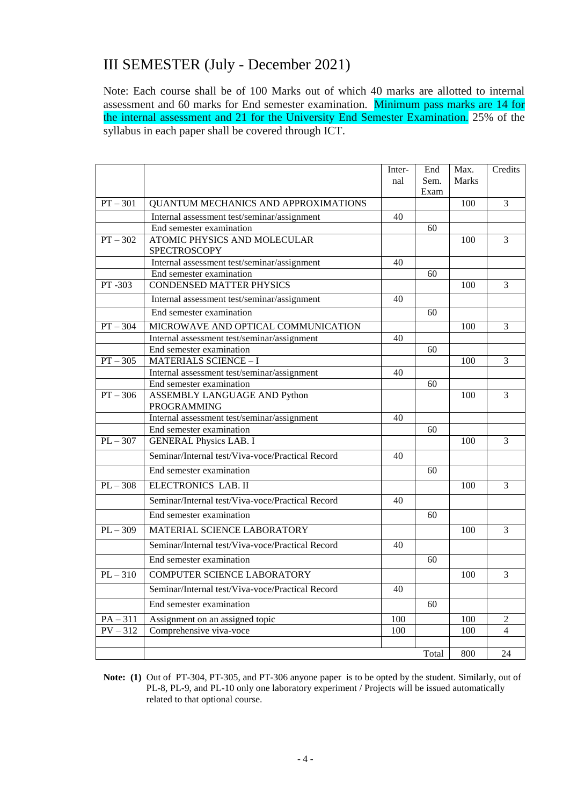# III SEMESTER (July - December 2021)

Note: Each course shall be of 100 Marks out of which 40 marks are allotted to internal assessment and 60 marks for End semester examination. Minimum pass marks are 14 for the internal assessment and 21 for the University End Semester Examination. 25% of the syllabus in each paper shall be covered through ICT.

| Marks<br>Sem.<br>nal<br>Exam<br>$PT - 301$<br>3<br>QUANTUM MECHANICS AND APPROXIMATIONS<br>100<br>Internal assessment test/seminar/assignment<br>40<br>End semester examination<br>60<br>$PT - 302$<br>ATOMIC PHYSICS AND MOLECULAR<br>$\overline{3}$<br>100<br><b>SPECTROSCOPY</b><br>Internal assessment test/seminar/assignment<br>40<br>End semester examination<br>60<br>PT-303<br><b>CONDENSED MATTER PHYSICS</b><br>3<br>100<br>Internal assessment test/seminar/assignment<br>40<br>End semester examination<br>60<br>MICROWAVE AND OPTICAL COMMUNICATION<br>$PT - 304$<br>3<br>100<br>Internal assessment test/seminar/assignment<br>40<br>End semester examination<br>60<br>$PT - 305$<br><b>MATERIALS SCIENCE - I</b><br>3<br>100<br>40<br>Internal assessment test/seminar/assignment<br>End semester examination<br>60<br>$PT - 306$<br>ASSEMBLY LANGUAGE AND Python<br>100<br>3<br>PROGRAMMING<br>Internal assessment test/seminar/assignment<br>40<br>End semester examination<br>60<br>$PL - 307$<br><b>GENERAL Physics LAB. I</b><br>3<br>100<br>Seminar/Internal test/Viva-voce/Practical Record<br>40<br>End semester examination<br>60<br>$PL - 308$<br>ELECTRONICS LAB. II<br>$\mathcal{F}$<br>100<br>Seminar/Internal test/Viva-voce/Practical Record<br>40<br>End semester examination<br>60<br>$PL - 309$<br>MATERIAL SCIENCE LABORATORY<br>100<br>3<br>Seminar/Internal test/Viva-voce/Practical Record<br>40<br>End semester examination<br>60<br>$PL - 310$<br><b>COMPUTER SCIENCE LABORATORY</b><br>3<br>100<br>Seminar/Internal test/Viva-voce/Practical Record<br>40<br>End semester examination<br>60<br>$PA - 311$<br>10 <sub>0</sub><br>$\overline{2}$<br>Assignment on an assigned topic<br>100 |            |                         | Inter- | End | Max. | Credits  |
|-----------------------------------------------------------------------------------------------------------------------------------------------------------------------------------------------------------------------------------------------------------------------------------------------------------------------------------------------------------------------------------------------------------------------------------------------------------------------------------------------------------------------------------------------------------------------------------------------------------------------------------------------------------------------------------------------------------------------------------------------------------------------------------------------------------------------------------------------------------------------------------------------------------------------------------------------------------------------------------------------------------------------------------------------------------------------------------------------------------------------------------------------------------------------------------------------------------------------------------------------------------------------------------------------------------------------------------------------------------------------------------------------------------------------------------------------------------------------------------------------------------------------------------------------------------------------------------------------------------------------------------------------------------------------------------------------------------------------------------|------------|-------------------------|--------|-----|------|----------|
|                                                                                                                                                                                                                                                                                                                                                                                                                                                                                                                                                                                                                                                                                                                                                                                                                                                                                                                                                                                                                                                                                                                                                                                                                                                                                                                                                                                                                                                                                                                                                                                                                                                                                                                                   |            |                         |        |     |      |          |
|                                                                                                                                                                                                                                                                                                                                                                                                                                                                                                                                                                                                                                                                                                                                                                                                                                                                                                                                                                                                                                                                                                                                                                                                                                                                                                                                                                                                                                                                                                                                                                                                                                                                                                                                   |            |                         |        |     |      |          |
|                                                                                                                                                                                                                                                                                                                                                                                                                                                                                                                                                                                                                                                                                                                                                                                                                                                                                                                                                                                                                                                                                                                                                                                                                                                                                                                                                                                                                                                                                                                                                                                                                                                                                                                                   |            |                         |        |     |      |          |
|                                                                                                                                                                                                                                                                                                                                                                                                                                                                                                                                                                                                                                                                                                                                                                                                                                                                                                                                                                                                                                                                                                                                                                                                                                                                                                                                                                                                                                                                                                                                                                                                                                                                                                                                   |            |                         |        |     |      |          |
|                                                                                                                                                                                                                                                                                                                                                                                                                                                                                                                                                                                                                                                                                                                                                                                                                                                                                                                                                                                                                                                                                                                                                                                                                                                                                                                                                                                                                                                                                                                                                                                                                                                                                                                                   |            |                         |        |     |      |          |
|                                                                                                                                                                                                                                                                                                                                                                                                                                                                                                                                                                                                                                                                                                                                                                                                                                                                                                                                                                                                                                                                                                                                                                                                                                                                                                                                                                                                                                                                                                                                                                                                                                                                                                                                   |            |                         |        |     |      |          |
|                                                                                                                                                                                                                                                                                                                                                                                                                                                                                                                                                                                                                                                                                                                                                                                                                                                                                                                                                                                                                                                                                                                                                                                                                                                                                                                                                                                                                                                                                                                                                                                                                                                                                                                                   |            |                         |        |     |      |          |
|                                                                                                                                                                                                                                                                                                                                                                                                                                                                                                                                                                                                                                                                                                                                                                                                                                                                                                                                                                                                                                                                                                                                                                                                                                                                                                                                                                                                                                                                                                                                                                                                                                                                                                                                   |            |                         |        |     |      |          |
|                                                                                                                                                                                                                                                                                                                                                                                                                                                                                                                                                                                                                                                                                                                                                                                                                                                                                                                                                                                                                                                                                                                                                                                                                                                                                                                                                                                                                                                                                                                                                                                                                                                                                                                                   |            |                         |        |     |      |          |
|                                                                                                                                                                                                                                                                                                                                                                                                                                                                                                                                                                                                                                                                                                                                                                                                                                                                                                                                                                                                                                                                                                                                                                                                                                                                                                                                                                                                                                                                                                                                                                                                                                                                                                                                   |            |                         |        |     |      |          |
|                                                                                                                                                                                                                                                                                                                                                                                                                                                                                                                                                                                                                                                                                                                                                                                                                                                                                                                                                                                                                                                                                                                                                                                                                                                                                                                                                                                                                                                                                                                                                                                                                                                                                                                                   |            |                         |        |     |      |          |
|                                                                                                                                                                                                                                                                                                                                                                                                                                                                                                                                                                                                                                                                                                                                                                                                                                                                                                                                                                                                                                                                                                                                                                                                                                                                                                                                                                                                                                                                                                                                                                                                                                                                                                                                   |            |                         |        |     |      |          |
|                                                                                                                                                                                                                                                                                                                                                                                                                                                                                                                                                                                                                                                                                                                                                                                                                                                                                                                                                                                                                                                                                                                                                                                                                                                                                                                                                                                                                                                                                                                                                                                                                                                                                                                                   |            |                         |        |     |      |          |
|                                                                                                                                                                                                                                                                                                                                                                                                                                                                                                                                                                                                                                                                                                                                                                                                                                                                                                                                                                                                                                                                                                                                                                                                                                                                                                                                                                                                                                                                                                                                                                                                                                                                                                                                   |            |                         |        |     |      |          |
|                                                                                                                                                                                                                                                                                                                                                                                                                                                                                                                                                                                                                                                                                                                                                                                                                                                                                                                                                                                                                                                                                                                                                                                                                                                                                                                                                                                                                                                                                                                                                                                                                                                                                                                                   |            |                         |        |     |      |          |
|                                                                                                                                                                                                                                                                                                                                                                                                                                                                                                                                                                                                                                                                                                                                                                                                                                                                                                                                                                                                                                                                                                                                                                                                                                                                                                                                                                                                                                                                                                                                                                                                                                                                                                                                   |            |                         |        |     |      |          |
|                                                                                                                                                                                                                                                                                                                                                                                                                                                                                                                                                                                                                                                                                                                                                                                                                                                                                                                                                                                                                                                                                                                                                                                                                                                                                                                                                                                                                                                                                                                                                                                                                                                                                                                                   |            |                         |        |     |      |          |
|                                                                                                                                                                                                                                                                                                                                                                                                                                                                                                                                                                                                                                                                                                                                                                                                                                                                                                                                                                                                                                                                                                                                                                                                                                                                                                                                                                                                                                                                                                                                                                                                                                                                                                                                   |            |                         |        |     |      |          |
|                                                                                                                                                                                                                                                                                                                                                                                                                                                                                                                                                                                                                                                                                                                                                                                                                                                                                                                                                                                                                                                                                                                                                                                                                                                                                                                                                                                                                                                                                                                                                                                                                                                                                                                                   |            |                         |        |     |      |          |
|                                                                                                                                                                                                                                                                                                                                                                                                                                                                                                                                                                                                                                                                                                                                                                                                                                                                                                                                                                                                                                                                                                                                                                                                                                                                                                                                                                                                                                                                                                                                                                                                                                                                                                                                   |            |                         |        |     |      |          |
|                                                                                                                                                                                                                                                                                                                                                                                                                                                                                                                                                                                                                                                                                                                                                                                                                                                                                                                                                                                                                                                                                                                                                                                                                                                                                                                                                                                                                                                                                                                                                                                                                                                                                                                                   |            |                         |        |     |      |          |
|                                                                                                                                                                                                                                                                                                                                                                                                                                                                                                                                                                                                                                                                                                                                                                                                                                                                                                                                                                                                                                                                                                                                                                                                                                                                                                                                                                                                                                                                                                                                                                                                                                                                                                                                   |            |                         |        |     |      |          |
|                                                                                                                                                                                                                                                                                                                                                                                                                                                                                                                                                                                                                                                                                                                                                                                                                                                                                                                                                                                                                                                                                                                                                                                                                                                                                                                                                                                                                                                                                                                                                                                                                                                                                                                                   |            |                         |        |     |      |          |
|                                                                                                                                                                                                                                                                                                                                                                                                                                                                                                                                                                                                                                                                                                                                                                                                                                                                                                                                                                                                                                                                                                                                                                                                                                                                                                                                                                                                                                                                                                                                                                                                                                                                                                                                   |            |                         |        |     |      |          |
|                                                                                                                                                                                                                                                                                                                                                                                                                                                                                                                                                                                                                                                                                                                                                                                                                                                                                                                                                                                                                                                                                                                                                                                                                                                                                                                                                                                                                                                                                                                                                                                                                                                                                                                                   |            |                         |        |     |      |          |
|                                                                                                                                                                                                                                                                                                                                                                                                                                                                                                                                                                                                                                                                                                                                                                                                                                                                                                                                                                                                                                                                                                                                                                                                                                                                                                                                                                                                                                                                                                                                                                                                                                                                                                                                   |            |                         |        |     |      |          |
|                                                                                                                                                                                                                                                                                                                                                                                                                                                                                                                                                                                                                                                                                                                                                                                                                                                                                                                                                                                                                                                                                                                                                                                                                                                                                                                                                                                                                                                                                                                                                                                                                                                                                                                                   |            |                         |        |     |      |          |
|                                                                                                                                                                                                                                                                                                                                                                                                                                                                                                                                                                                                                                                                                                                                                                                                                                                                                                                                                                                                                                                                                                                                                                                                                                                                                                                                                                                                                                                                                                                                                                                                                                                                                                                                   |            |                         |        |     |      |          |
|                                                                                                                                                                                                                                                                                                                                                                                                                                                                                                                                                                                                                                                                                                                                                                                                                                                                                                                                                                                                                                                                                                                                                                                                                                                                                                                                                                                                                                                                                                                                                                                                                                                                                                                                   |            |                         |        |     |      |          |
|                                                                                                                                                                                                                                                                                                                                                                                                                                                                                                                                                                                                                                                                                                                                                                                                                                                                                                                                                                                                                                                                                                                                                                                                                                                                                                                                                                                                                                                                                                                                                                                                                                                                                                                                   |            |                         |        |     |      |          |
|                                                                                                                                                                                                                                                                                                                                                                                                                                                                                                                                                                                                                                                                                                                                                                                                                                                                                                                                                                                                                                                                                                                                                                                                                                                                                                                                                                                                                                                                                                                                                                                                                                                                                                                                   |            |                         |        |     |      |          |
|                                                                                                                                                                                                                                                                                                                                                                                                                                                                                                                                                                                                                                                                                                                                                                                                                                                                                                                                                                                                                                                                                                                                                                                                                                                                                                                                                                                                                                                                                                                                                                                                                                                                                                                                   |            |                         |        |     |      |          |
|                                                                                                                                                                                                                                                                                                                                                                                                                                                                                                                                                                                                                                                                                                                                                                                                                                                                                                                                                                                                                                                                                                                                                                                                                                                                                                                                                                                                                                                                                                                                                                                                                                                                                                                                   |            |                         |        |     |      |          |
|                                                                                                                                                                                                                                                                                                                                                                                                                                                                                                                                                                                                                                                                                                                                                                                                                                                                                                                                                                                                                                                                                                                                                                                                                                                                                                                                                                                                                                                                                                                                                                                                                                                                                                                                   | $PV - 312$ | Comprehensive viva-voce | 100    |     | 100  | $\Delta$ |
| Total<br>800<br>24                                                                                                                                                                                                                                                                                                                                                                                                                                                                                                                                                                                                                                                                                                                                                                                                                                                                                                                                                                                                                                                                                                                                                                                                                                                                                                                                                                                                                                                                                                                                                                                                                                                                                                                |            |                         |        |     |      |          |

**Note: (1)** Out of PT-304, PT-305, and PT-306 anyone paper is to be opted by the student. Similarly, out of PL-8, PL-9, and PL-10 only one laboratory experiment / Projects will be issued automatically related to that optional course.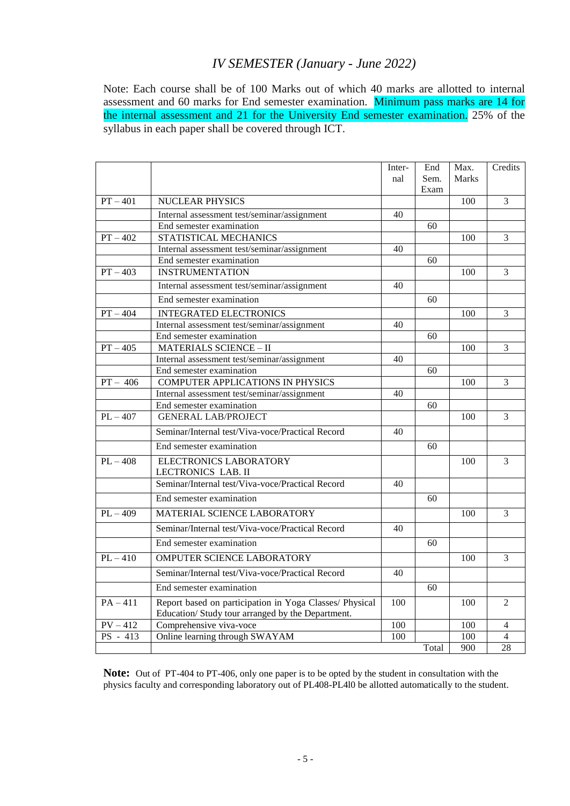# *IV SEMESTER (January - June 2022)*

Note: Each course shall be of 100 Marks out of which 40 marks are allotted to internal assessment and 60 marks for End semester examination. Minimum pass marks are 14 for the internal assessment and 21 for the University End semester examination. 25% of the syllabus in each paper shall be covered through ICT.

|                       |                                                         | Inter- | End   | Max.  | Credits        |
|-----------------------|---------------------------------------------------------|--------|-------|-------|----------------|
|                       |                                                         | nal    | Sem.  | Marks |                |
|                       |                                                         |        | Exam  |       |                |
| $PT - 401$            | <b>NUCLEAR PHYSICS</b>                                  |        |       | 100   | 3              |
|                       | Internal assessment test/seminar/assignment             | 40     |       |       |                |
|                       | End semester examination                                |        | 60    |       |                |
| $PT - 402$            | STATISTICAL MECHANICS                                   |        |       | 100   | 3              |
|                       | Internal assessment test/seminar/assignment             | 40     |       |       |                |
|                       | End semester examination                                |        | 60    |       |                |
| $PT - 403$            | <b>INSTRUMENTATION</b>                                  |        |       | 100   | $\overline{3}$ |
|                       | Internal assessment test/seminar/assignment             | 40     |       |       |                |
|                       | End semester examination                                |        | 60    |       |                |
| $PT - 404$            | <b>INTEGRATED ELECTRONICS</b>                           |        |       | 100   | 3              |
|                       | Internal assessment test/seminar/assignment             | 40     |       |       |                |
|                       | End semester examination                                |        | 60    |       |                |
| $PT - 405$            | <b>MATERIALS SCIENCE - II</b>                           |        |       | 100   | $\overline{3}$ |
|                       | Internal assessment test/seminar/assignment             | 40     |       |       |                |
|                       | End semester examination                                |        | 60    |       |                |
| $PT - 406$            | COMPUTER APPLICATIONS IN PHYSICS                        |        |       | 100   | 3              |
|                       | Internal assessment test/seminar/assignment             | 40     |       |       |                |
|                       | End semester examination                                |        | 60    |       |                |
| $PL - 407$            | <b>GENERAL LAB/PROJECT</b>                              |        |       | 100   | 3              |
|                       | Seminar/Internal test/Viva-voce/Practical Record        | 40     |       |       |                |
|                       | End semester examination                                |        | 60    |       |                |
| $PL - 408$            | <b>ELECTRONICS LABORATORY</b>                           |        |       | 100   | 3              |
|                       | LECTRONICS LAB. II                                      |        |       |       |                |
|                       | Seminar/Internal test/Viva-voce/Practical Record        | 40     |       |       |                |
|                       | End semester examination                                |        | 60    |       |                |
| $PL - 409$            | MATERIAL SCIENCE LABORATORY                             |        |       | 100   | 3              |
|                       | Seminar/Internal test/Viva-voce/Practical Record        | 40     |       |       |                |
|                       | End semester examination                                |        | 60    |       |                |
| $PL - 410$            | OMPUTER SCIENCE LABORATORY                              |        |       | 100   | $\overline{3}$ |
|                       | Seminar/Internal test/Viva-voce/Practical Record        | 40     |       |       |                |
|                       | End semester examination                                |        | 60    |       |                |
| $PA-411$              | Report based on participation in Yoga Classes/ Physical | 100    |       | 100   | $\overline{2}$ |
|                       | Education/Study tour arranged by the Department.        |        |       |       |                |
| $PV - 412$            | Comprehensive viva-voce                                 | 100    |       | 100   | $\overline{4}$ |
| $\overline{PS}$ - 413 | Online learning through SWAYAM                          | 100    |       | 100   | 4              |
|                       |                                                         |        | Total | 900   | 28             |

**Note:** Out of PT-404 to PT-406, only one paper is to be opted by the student in consultation with the physics faculty and corresponding laboratory out of PL408-PL4l0 be allotted automatically to the student.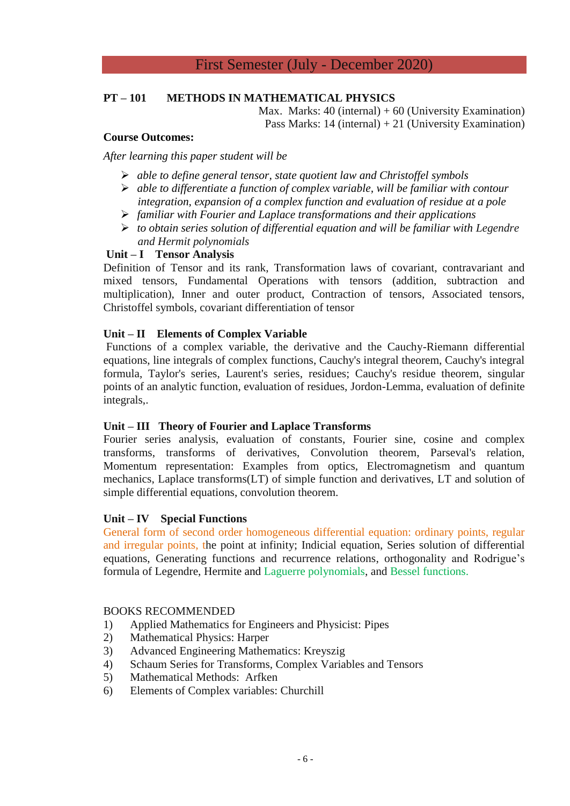# First Semester (July - December 2020)

# **PT – 101 METHODS IN MATHEMATICAL PHYSICS**

Max. Marks:  $40$  (internal) +  $60$  (University Examination) Pass Marks: 14 (internal) + 21 (University Examination)

# **Course Outcomes:**

*After learning this paper student will be* 

- *able to define general tensor, state quotient law and Christoffel symbols*
- *able to differentiate a function of complex variable, will be familiar with contour integration, expansion of a complex function and evaluation of residue at a pole*
- *familiar with Fourier and Laplace transformations and their applications*
- *to obtain series solution of differential equation and will be familiar with Legendre and Hermit polynomials*

# **Unit – I Tensor Analysis**

Definition of Tensor and its rank, Transformation laws of covariant, contravariant and mixed tensors, Fundamental Operations with tensors (addition, subtraction and multiplication), Inner and outer product, Contraction of tensors, Associated tensors, Christoffel symbols, covariant differentiation of tensor

# **Unit – II Elements of Complex Variable**

Functions of a complex variable, the derivative and the Cauchy-Riemann differential equations, line integrals of complex functions, Cauchy's integral theorem, Cauchy's integral formula, Taylor's series, Laurent's series, residues; Cauchy's residue theorem, singular points of an analytic function, evaluation of residues, Jordon-Lemma, evaluation of definite integrals,.

#### **Unit – III Theory of Fourier and Laplace Transforms**

Fourier series analysis, evaluation of constants, Fourier sine, cosine and complex transforms, transforms of derivatives, Convolution theorem, Parseval's relation, Momentum representation: Examples from optics, Electromagnetism and quantum mechanics, Laplace transforms(LT) of simple function and derivatives, LT and solution of simple differential equations, convolution theorem.

# **Unit – IV Special Functions**

General form of second order homogeneous differential equation: ordinary points, regular and irregular points, the point at infinity; Indicial equation, Series solution of differential equations, Generating functions and recurrence relations, orthogonality and Rodrigue's formula of Legendre, Hermite and Laguerre polynomials, and Bessel functions.

- 1) Applied Mathematics for Engineers and Physicist: Pipes
- 2) Mathematical Physics: Harper
- 3) Advanced Engineering Mathematics: Kreyszig
- 4) Schaum Series for Transforms, Complex Variables and Tensors
- 5) Mathematical Methods: Arfken
- 6) Elements of Complex variables: Churchill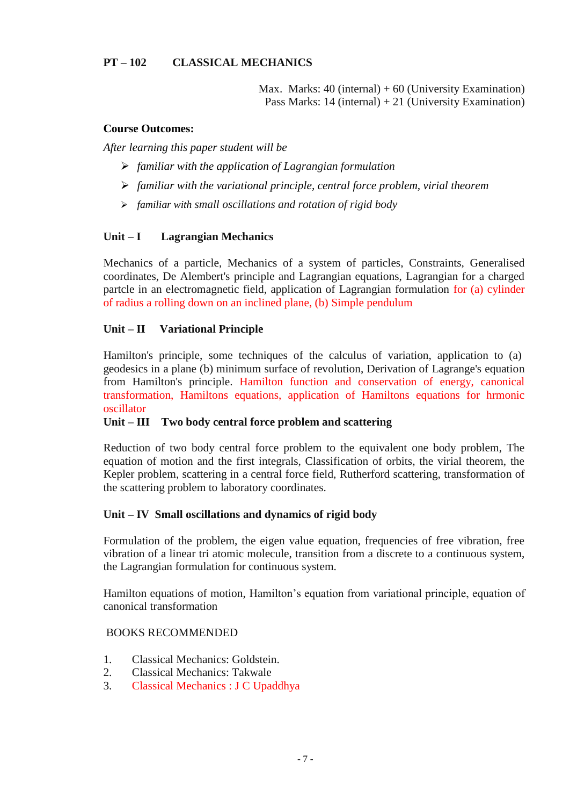Max. Marks:  $40$  (internal) +  $60$  (University Examination) Pass Marks:  $14$  (internal)  $+21$  (University Examination)

# **Course Outcomes:**

*After learning this paper student will be* 

- *familiar with the application of Lagrangian formulation*
- *familiar with the variational principle, central force problem, virial theorem*
- *familiar with small oscillations and rotation of rigid body*

# **Unit – I Lagrangian Mechanics**

Mechanics of a particle, Mechanics of a system of particles, Constraints, Generalised coordinates, De Alembert's principle and Lagrangian equations, Lagrangian for a charged partcle in an electromagnetic field, application of Lagrangian formulation for (a) cylinder of radius a rolling down on an inclined plane, (b) Simple pendulum

# **Unit – II Variational Principle**

Hamilton's principle, some techniques of the calculus of variation, application to (a) geodesics in a plane (b) minimum surface of revolution, Derivation of Lagrange's equation from Hamilton's principle. Hamilton function and conservation of energy, canonical transformation, Hamiltons equations, application of Hamiltons equations for hrmonic oscillator

# **Unit – III Two body central force problem and scattering**

Reduction of two body central force problem to the equivalent one body problem, The equation of motion and the first integrals, Classification of orbits, the virial theorem, the Kepler problem, scattering in a central force field, Rutherford scattering, transformation of the scattering problem to laboratory coordinates.

# **Unit – IV Small oscillations and dynamics of rigid body**

Formulation of the problem, the eigen value equation, frequencies of free vibration, free vibration of a linear tri atomic molecule, transition from a discrete to a continuous system, the Lagrangian formulation for continuous system.

Hamilton equations of motion, Hamilton's equation from variational principle, equation of canonical transformation

- 1. Classical Mechanics: Goldstein.
- 2. Classical Mechanics: Takwale
- 3. Classical Mechanics : J C Upaddhya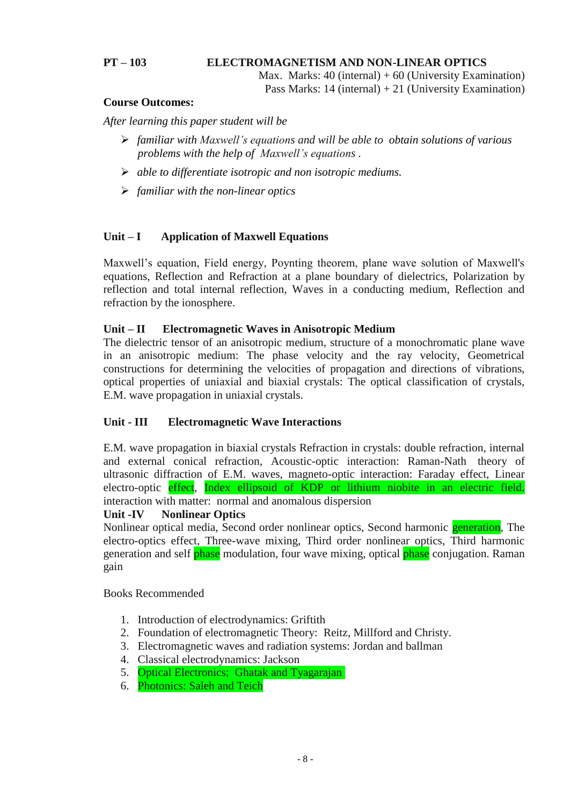# **PT – 103 ELECTROMAGNETISM AND NON-LINEAR OPTICS**

Max. Marks:  $40$  (internal) +  $60$  (University Examination) Pass Marks: 14 (internal) + 21 (University Examination)

# **Course Outcomes:**

*After learning this paper student will be* 

- *familiar with Maxwell's equations and will be able to obtain solutions of various problems with the help of Maxwell's equations .*
- *able to differentiate isotropic and non isotropic mediums.*
- *familiar with the non-linear optics*

# **Unit – I Application of Maxwell Equations**

Maxwell's equation, Field energy, Poynting theorem, plane wave solution of Maxwell's equations, Reflection and Refraction at a plane boundary of dielectrics, Polarization by reflection and total internal reflection, Waves in a conducting medium, Reflection and refraction by the ionosphere.

# **Unit – II Electromagnetic Waves in Anisotropic Medium**

The dielectric tensor of an anisotropic medium, structure of a monochromatic plane wave in an anisotropic medium: The phase velocity and the ray velocity, Geometrical constructions for determining the velocities of propagation and directions of vibrations, optical properties of uniaxial and biaxial crystals: The optical classification of crystals, E.M. wave propagation in uniaxial crystals.

# **Unit - III Electromagnetic Wave Interactions**

E.M. wave propagation in biaxial crystals Refraction in crystals: double refraction, internal and external conical refraction, Acoustic-optic interaction: Raman-Nath theory of ultrasonic diffraction of E.M. waves, magneto-optic interaction: Faraday effect, Linear electro-optic effect, Index ellipsoid of KDP or lithium niobite in an electric field. interaction with matter: normal and anomalous dispersion

# **Unit -IV Nonlinear Optics**

Nonlinear optical media, Second order nonlinear optics, Second harmonic generation, The electro-optics effect, Three-wave mixing, Third order nonlinear optics, Third harmonic generation and self phase modulation, four wave mixing, optical phase conjugation. Raman gain

- 1. Introduction of electrodynamics: Griftith
- 2. Foundation of electromagnetic Theory: Reitz, Millford and Christy.
- 3. Electromagnetic waves and radiation systems: Jordan and ballman
- 4. Classical electrodynamics: Jackson
- 5. Optical Electronics; Ghatak and Tyagarajan
- 6. Photonics: Saleh and Teich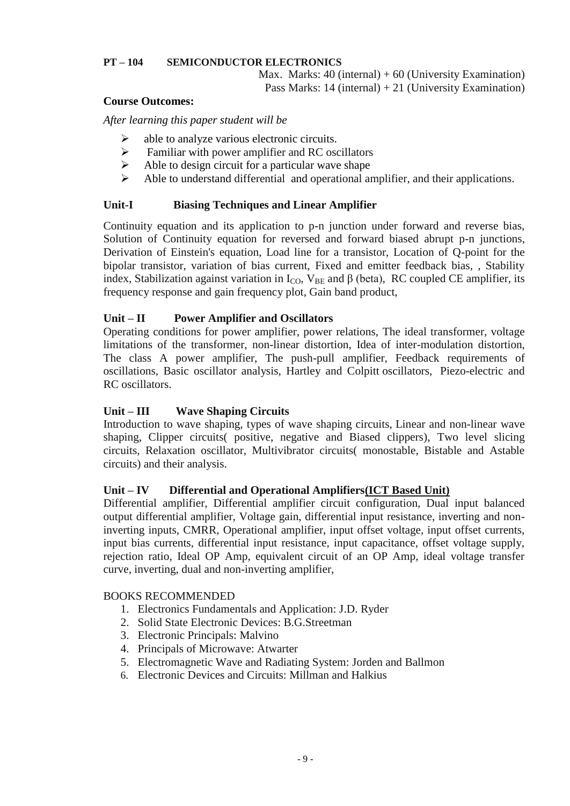# **PT – 104 SEMICONDUCTOR ELECTRONICS**

Max. Marks:  $40$  (internal) +  $60$  (University Examination) Pass Marks: 14 (internal) + 21 (University Examination)

# **Course Outcomes:**

*After learning this paper student will be* 

- $\triangleright$  able to analyze various electronic circuits.
- $\triangleright$  Familiar with power amplifier and RC oscillators
- $\triangleright$  Able to design circuit for a particular wave shape
- Able to understand differential and operational amplifier, and their applications.

# **Unit-I Biasing Techniques and Linear Amplifier**

Continuity equation and its application to p-n junction under forward and reverse bias, Solution of Continuity equation for reversed and forward biased abrupt p-n junctions, Derivation of Einstein's equation, Load line for a transistor, Location of Q-point for the bipolar transistor, variation of bias current, Fixed and emitter feedback bias, , Stability index, Stabilization against variation in  $I_{CO}$ ,  $V_{BE}$  and  $\beta$  (beta), RC coupled CE amplifier, its frequency response and gain frequency plot, Gain band product,

# **Unit – II Power Amplifier and Oscillators**

Operating conditions for power amplifier, power relations, The ideal transformer, voltage limitations of the transformer, non-linear distortion, Idea of inter-modulation distortion, The class A power amplifier, The push-pull amplifier, Feedback requirements of oscillations, Basic oscillator analysis, Hartley and Colpitt oscillators, Piezo-electric and RC oscillators.

# **Unit – III Wave Shaping Circuits**

Introduction to wave shaping, types of wave shaping circuits, Linear and non-linear wave shaping, Clipper circuits( positive, negative and Biased clippers), Two level slicing circuits, Relaxation oscillator, Multivibrator circuits( monostable, Bistable and Astable circuits) and their analysis.

# **Unit – IV Differential and Operational Amplifiers(ICT Based Unit)**

Differential amplifier, Differential amplifier circuit configuration, Dual input balanced output differential amplifier, Voltage gain, differential input resistance, inverting and noninverting inputs, CMRR, Operational amplifier, input offset voltage, input offset currents, input bias currents, differential input resistance, input capacitance, offset voltage supply, rejection ratio, Ideal OP Amp, equivalent circuit of an OP Amp, ideal voltage transfer curve, inverting, dual and non-inverting amplifier,

- 1. Electronics Fundamentals and Application: J.D. Ryder
- 2. Solid State Electronic Devices: B.G.Streetman
- 3. Electronic Principals: Malvino
- 4. Principals of Microwave: Atwarter
- 5. Electromagnetic Wave and Radiating System: Jorden and Ballmon
- 6. Electronic Devices and Circuits: Millman and Halkius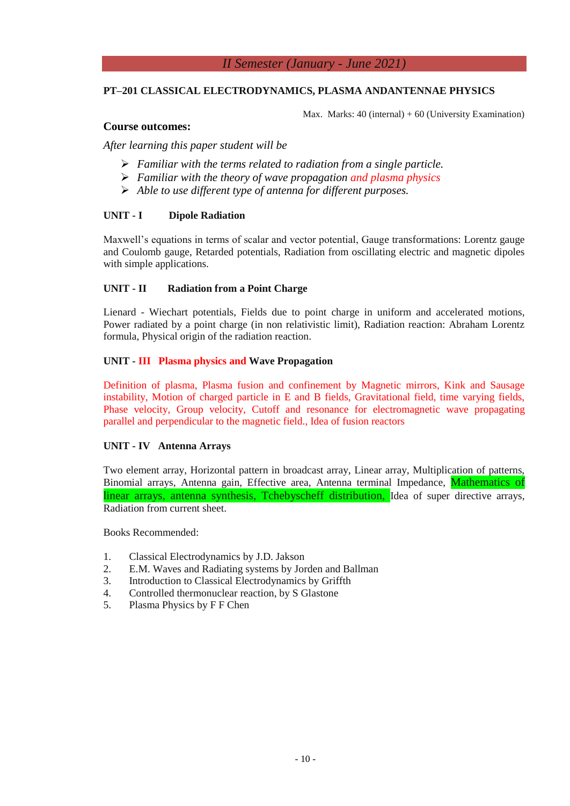# *II Semester (January - June 2021)*

## **PT–201 CLASSICAL ELECTRODYNAMICS, PLASMA ANDANTENNAE PHYSICS**

Max. Marks:  $40$  (internal) +  $60$  (University Examination)

## **Course outcomes:**

*After learning this paper student will be* 

- *Familiar with the terms related to radiation from a single particle.*
- *Familiar with the theory of wave propagation and plasma physics*
- *Able to use different type of antenna for different purposes.*

#### **UNIT - I Dipole Radiation**

Maxwell's equations in terms of scalar and vector potential, Gauge transformations: Lorentz gauge and Coulomb gauge, Retarded potentials, Radiation from oscillating electric and magnetic dipoles with simple applications.

# **UNIT - II Radiation from a Point Charge**

Lienard - Wiechart potentials, Fields due to point charge in uniform and accelerated motions, Power radiated by a point charge (in non relativistic limit), Radiation reaction: Abraham Lorentz formula, Physical origin of the radiation reaction.

#### **UNIT - III Plasma physics and Wave Propagation**

Definition of plasma, Plasma fusion and confinement by Magnetic mirrors, Kink and Sausage instability, Motion of charged particle in E and B fields, Gravitational field, time varying fields, Phase velocity, Group velocity, Cutoff and resonance for electromagnetic wave propagating parallel and perpendicular to the magnetic field., Idea of fusion reactors

#### **UNIT - IV Antenna Arrays**

Two element array, Horizontal pattern in broadcast array, Linear array, Multiplication of patterns, Binomial arrays, Antenna gain, Effective area, Antenna terminal Impedance, Mathematics of linear arrays, antenna synthesis, Tchebyscheff distribution, Idea of super directive arrays, Radiation from current sheet.

- 1. Classical Electrodynamics by J.D. Jakson
- 2. E.M. Waves and Radiating systems by Jorden and Ballman
- 3. Introduction to Classical Electrodynamics by Griffth
- 4. Controlled thermonuclear reaction, by S Glastone
- 5. Plasma Physics by F F Chen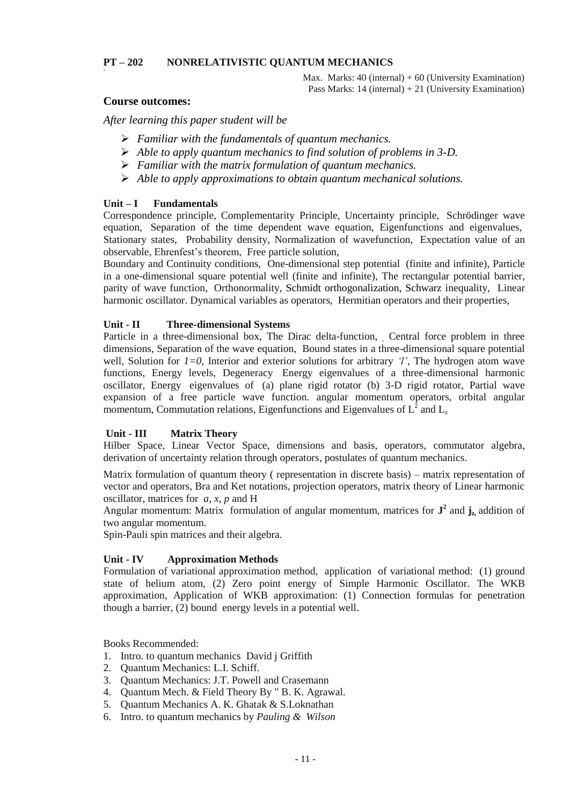#### **PT – 202 NONRELATIVISTIC QUANTUM MECHANICS**

Max. Marks:  $40$  (internal) +  $60$  (University Examination) Pass Marks: 14 (internal) + 21 (University Examination)

# **Course outcomes:**

**<**

*After learning this paper student will be* 

- *Familiar with the fundamentals of quantum mechanics.*
- *Able to apply quantum mechanics to find solution of problems in 3-D.*
- *Familiar with the matrix formulation of quantum mechanics.*
- *Able to apply approximations to obtain quantum mechanical solutions.*

#### **Unit – I Fundamentals**

Correspondence principle, Complementarity Principle, Uncertainty principle, Schrödinger wave equation, Separation of the time dependent wave equation, Eigenfunctions and eigenvalues, Stationary states, Probability density, Normalization of wavefunction, Expectation value of an observable, Ehrenfest's theorem, Free particle solution,

Boundary and Continuity conditions, One-dimensional step potential (finite and infinite), Particle in a one-dimensional square potential well (finite and infinite), The rectangular potential barrier, parity of wave function, Orthonormality, Schmidt orthogonalization, Schwarz inequality, Linear harmonic oscillator. Dynamical variables as operators, Hermitian operators and their properties,

#### **Unit - II Three-dimensional Systems**

Particle in a three-dimensional box, The Dirac delta-function, Central force problem in three dimensions, Separation of the wave equation, Bound states in a three-dimensional square potential well, Solution for *1=0*, Interior and exterior solutions for arbitrary *'l'*, The hydrogen atom wave functions, Energy levels, Degeneracy Energy eigenvalues of a three-dimensional harmonic oscillator, Energy eigenvalues of (a) plane rigid rotator (b) 3-D rigid rotator, Partial wave expansion of a free particle wave function. angular momentum operators, orbital angular momentum, Commutation relations, Eigenfunctions and Eigenvalues of  $L^2$  and  $L_z$ 

#### **Unit - III Matrix Theory**

Hilber Space, Linear Vector Space, dimensions and basis, operators, commutator algebra, derivation of uncertainty relation through operators, postulates of quantum mechanics.

Matrix formulation of quantum theory ( representation in discrete basis) – matrix representation of vector and operators, Bra and Ket notations, projection operators, matrix theory of Linear harmonic oscillator, matrices for *a, x, p* and H

Angular momentum: Matrix formulation of angular momentum, matrices for  $J^2$  and  $j_z$ , addition of two angular momentum.

Spin-Pauli spin matrices and their algebra.

#### **Unit - IV Approximation Methods**

Formulation of variational approximation method, application of variational method: (1) ground state of helium atom, (2) Zero point energy of Simple Harmonic Oscillator. The WKB approximation, Application of WKB approximation: (1) Connection formulas for penetration though a barrier, (2) bound energy levels in a potential well.

- 1. Intro. to quantum mechanics David j Griffith
- 2. Quantum Mechanics: L.I. Schiff.
- 3. Quantum Mechanics: J.T. Powell and Crasemann
- 4. Quantum Mech. & Field Theory By " B. K. Agrawal.
- 5. Quantum Mechanics A. K. Ghatak & S.Loknathan
- 6. Intro. to quantum mechanics by *Pauling & Wilson*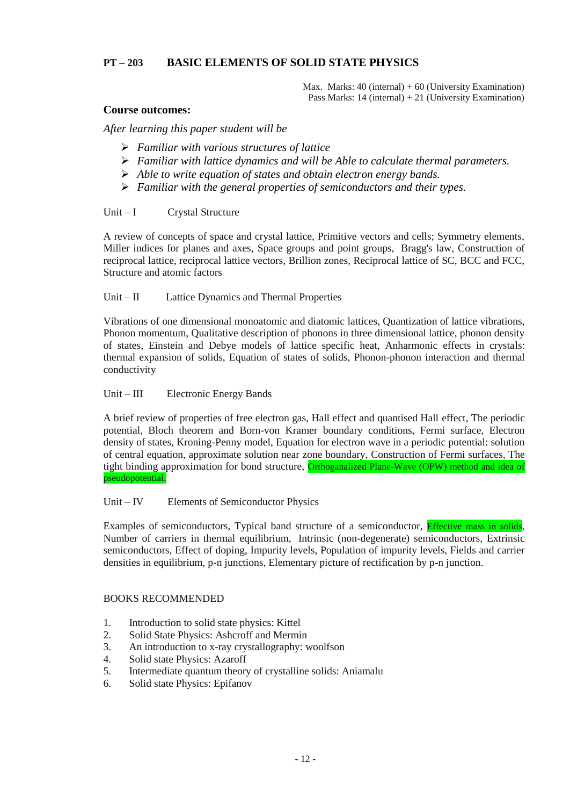# **PT – 203 BASIC ELEMENTS OF SOLID STATE PHYSICS**

Max. Marks:  $40$  (internal) +  $60$  (University Examination) Pass Marks: 14 (internal) + 21 (University Examination)

# **Course outcomes:**

*After learning this paper student will be* 

- *Familiar with various structures of lattice*
- *Familiar with lattice dynamics and will be Able to calculate thermal parameters.*
- *Able to write equation of states and obtain electron energy bands.*
- *Familiar with the general properties of semiconductors and their types.*

#### Unit – I Crystal Structure

A review of concepts of space and crystal lattice, Primitive vectors and cells; Symmetry elements, Miller indices for planes and axes, Space groups and point groups, Bragg's law, Construction of reciprocal lattice, reciprocal lattice vectors, Brillion zones, Reciprocal lattice of SC, BCC and FCC, Structure and atomic factors

# Unit – II Lattice Dynamics and Thermal Properties

Vibrations of one dimensional monoatomic and diatomic lattices, Quantization of lattice vibrations, Phonon momentum, Qualitative description of phonons in three dimensional lattice, phonon density of states, Einstein and Debye models of lattice specific heat, Anharmonic effects in crystals: thermal expansion of solids, Equation of states of solids, Phonon-phonon interaction and thermal conductivity

#### Unit – III Electronic Energy Bands

A brief review of properties of free electron gas, Hall effect and quantised Hall effect, The periodic potential, Bloch theorem and Born-von Kramer boundary conditions, Fermi surface, Electron density of states, Kroning-Penny model, Equation for electron wave in a periodic potential: solution of central equation, approximate solution near zone boundary, Construction of Fermi surfaces, The tight binding approximation for bond structure, Orthoganalized Plane-Wave (OPW) method and idea of pseudopotential.

# Unit – IV Elements of Semiconductor Physics

Examples of semiconductors, Typical band structure of a semiconductor, Effective mass in solids, Number of carriers in thermal equilibrium, Intrinsic (non-degenerate) semiconductors, Extrinsic semiconductors, Effect of doping, Impurity levels, Population of impurity levels, Fields and carrier densities in equilibrium, p-n junctions, Elementary picture of rectification by p-n junction.

- 1. Introduction to solid state physics: Kittel
- 2. Solid State Physics: Ashcroff and Mermin
- 3. An introduction to x-ray crystallography: woolfson
- 4. Solid state Physics: Azaroff
- 5. Intermediate quantum theory of crystalline solids: Aniamalu
- 6. Solid state Physics: Epifanov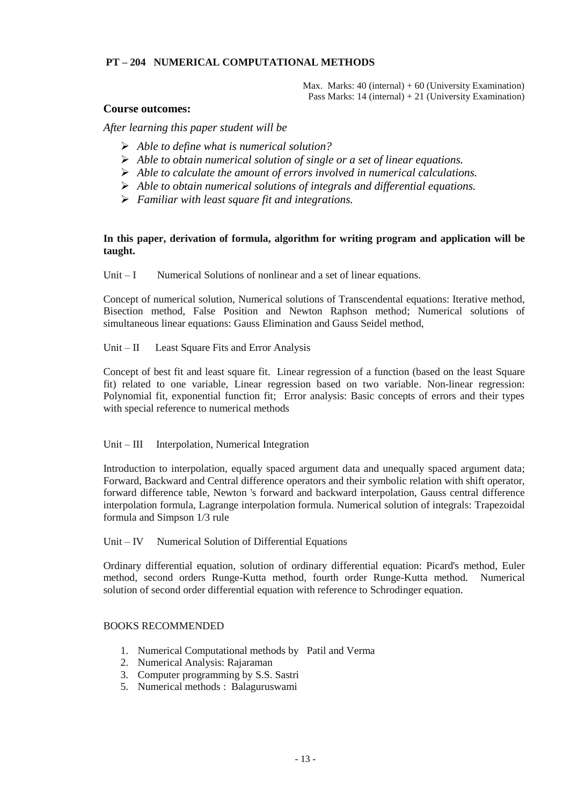# **PT – 204 NUMERICAL COMPUTATIONAL METHODS**

Max. Marks:  $40$  (internal) +  $60$  (University Examination) Pass Marks: 14 (internal) + 21 (University Examination)

#### **Course outcomes:**

*After learning this paper student will be* 

- *Able to define what is numerical solution?*
- *Able to obtain numerical solution of single or a set of linear equations.*
- *Able to calculate the amount of errors involved in numerical calculations.*
- *Able to obtain numerical solutions of integrals and differential equations.*
- *Familiar with least square fit and integrations.*

## **In this paper, derivation of formula, algorithm for writing program and application will be taught.**

Unit – I Numerical Solutions of nonlinear and a set of linear equations.

Concept of numerical solution, Numerical solutions of Transcendental equations: Iterative method, Bisection method, False Position and Newton Raphson method; Numerical solutions of simultaneous linear equations: Gauss Elimination and Gauss Seidel method,

Unit – II Least Square Fits and Error Analysis

Concept of best fit and least square fit. Linear regression of a function (based on the least Square fit) related to one variable, Linear regression based on two variable. Non-linear regression: Polynomial fit, exponential function fit; Error analysis: Basic concepts of errors and their types with special reference to numerical methods

#### Unit – III Interpolation, Numerical Integration

Introduction to interpolation, equally spaced argument data and unequally spaced argument data; Forward, Backward and Central difference operators and their symbolic relation with shift operator, forward difference table, Newton 's forward and backward interpolation, Gauss central difference interpolation formula, Lagrange interpolation formula. Numerical solution of integrals: Trapezoidal formula and Simpson 1/3 rule

#### Unit – IV Numerical Solution of Differential Equations

Ordinary differential equation, solution of ordinary differential equation: Picard's method, Euler method, second orders Runge-Kutta method, fourth order Runge-Kutta method. Numerical solution of second order differential equation with reference to Schrodinger equation.

- 1. Numerical Computational methods by Patil and Verma
- 2. Numerical Analysis: Rajaraman
- 3. Computer programming by S.S. Sastri
- 5. Numerical methods : Balaguruswami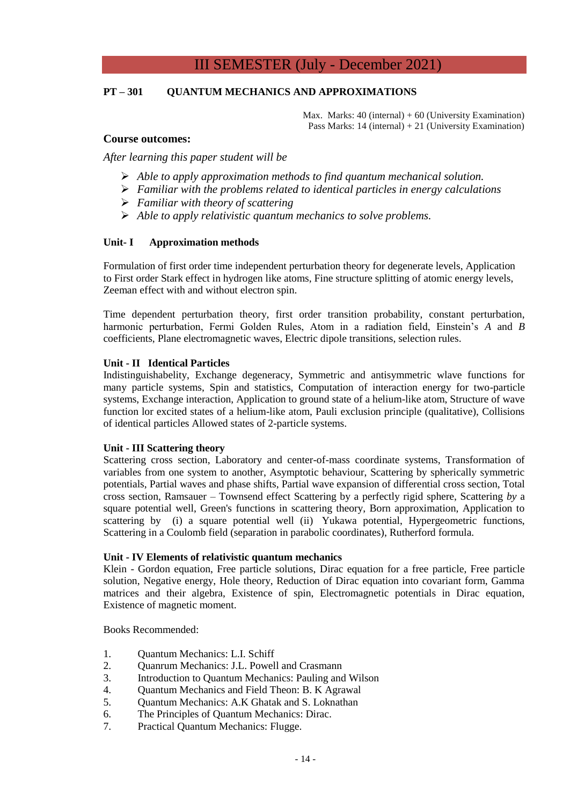# III SEMESTER (July - December 2021)

## **PT – 301 QUANTUM MECHANICS AND APPROXIMATIONS**

Max. Marks:  $40$  (internal) +  $60$  (University Examination) Pass Marks: 14 (internal) + 21 (University Examination)

#### **Course outcomes:**

*After learning this paper student will be* 

- *Able to apply approximation methods to find quantum mechanical solution.*
- *Familiar with the problems related to identical particles in energy calculations*
- *Familiar with theory of scattering*
- *Able to apply relativistic quantum mechanics to solve problems.*

#### **Unit- I Approximation methods**

Formulation of first order time independent perturbation theory for degenerate levels, Application to First order Stark effect in hydrogen like atoms, Fine structure splitting of atomic energy levels, Zeeman effect with and without electron spin.

Time dependent perturbation theory, first order transition probability, constant perturbation, harmonic perturbation, Fermi Golden Rules, Atom in a radiation field, Einstein's *A* and *B* coefficients, Plane electromagnetic waves, Electric dipole transitions, selection rules.

#### **Unit - II Identical Particles**

Indistinguishabelity, Exchange degeneracy, Symmetric and antisymmetric wlave functions for many particle systems, Spin and statistics, Computation of interaction energy for two-particle systems, Exchange interaction, Application to ground state of a helium-like atom, Structure of wave function lor excited states of a helium-like atom, Pauli exclusion principle (qualitative), Collisions of identical particles Allowed states of 2-particle systems.

#### **Unit - III Scattering theory**

Scattering cross section, Laboratory and center-of-mass coordinate systems, Transformation of variables from one system to another, Asymptotic behaviour, Scattering by spherically symmetric potentials, Partial waves and phase shifts, Partial wave expansion of differential cross section, Total cross section, Ramsauer – Townsend effect Scattering by a perfectly rigid sphere, Scattering *by* a square potential well, Green's functions in scattering theory, Born approximation, Application to scattering by (i) a square potential well (ii) Yukawa potential, Hypergeometric functions, Scattering in a Coulomb field (separation in parabolic coordinates), Rutherford formula.

#### **Unit - IV Elements of relativistic quantum mechanics**

Klein - Gordon equation, Free particle solutions, Dirac equation for a free particle, Free particle solution, Negative energy, Hole theory, Reduction of Dirac equation into covariant form, Gamma matrices and their algebra, Existence of spin, Electromagnetic potentials in Dirac equation, Existence of magnetic moment.

- 1. Quantum Mechanics: L.I. Schiff
- 2. Quanrum Mechanics: J.L. Powell and Crasmann
- 3. Introduction to Quantum Mechanics: Pauling and Wilson
- 4. Quantum Mechanics and Field Theon: B. K Agrawal
- 5. Quantum Mechanics: A.K Ghatak and S. Loknathan
- 6. The Principles of Quantum Mechanics: Dirac.
- 7. Practical Quantum Mechanics: Flugge.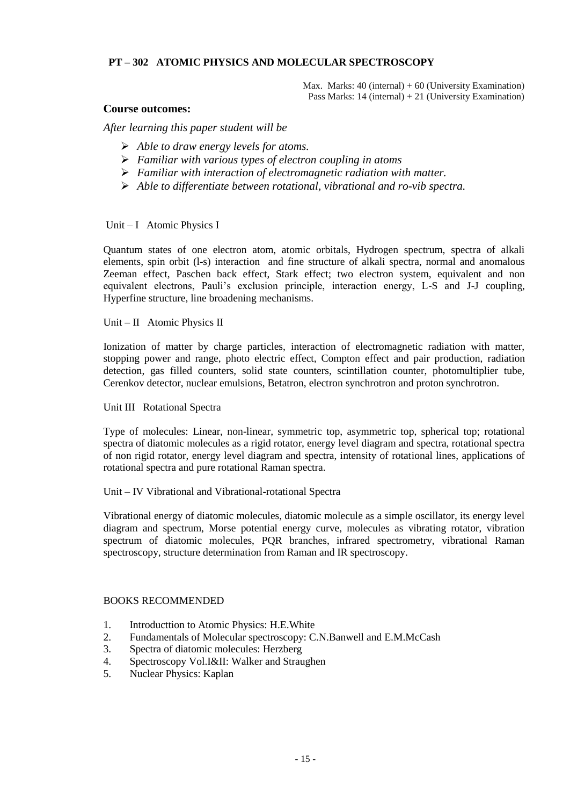# **PT – 302 ATOMIC PHYSICS AND MOLECULAR SPECTROSCOPY**

Max. Marks:  $40$  (internal) +  $60$  (University Examination) Pass Marks: 14 (internal) + 21 (University Examination)

#### **Course outcomes:**

*After learning this paper student will be* 

- *Able to draw energy levels for atoms.*
- *Familiar with various types of electron coupling in atoms*
- *Familiar with interaction of electromagnetic radiation with matter.*
- *Able to differentiate between rotational, vibrational and ro-vib spectra.*

#### Unit – I Atomic Physics I

Quantum states of one electron atom, atomic orbitals, Hydrogen spectrum, spectra of alkali elements, spin orbit (l-s) interaction and fine structure of alkali spectra, normal and anomalous Zeeman effect, Paschen back effect, Stark effect; two electron system, equivalent and non equivalent electrons, Pauli's exclusion principle, interaction energy, L-S and J-J coupling, Hyperfine structure, line broadening mechanisms.

Unit – II Atomic Physics II

Ionization of matter by charge particles, interaction of electromagnetic radiation with matter, stopping power and range, photo electric effect, Compton effect and pair production, radiation detection, gas filled counters, solid state counters, scintillation counter, photomultiplier tube, Cerenkov detector, nuclear emulsions, Betatron, electron synchrotron and proton synchrotron.

Unit III Rotational Spectra

Type of molecules: Linear, non-linear, symmetric top, asymmetric top, spherical top; rotational spectra of diatomic molecules as a rigid rotator, energy level diagram and spectra, rotational spectra of non rigid rotator, energy level diagram and spectra, intensity of rotational lines, applications of rotational spectra and pure rotational Raman spectra.

Unit – IV Vibrational and Vibrational-rotational Spectra

Vibrational energy of diatomic molecules, diatomic molecule as a simple oscillator, its energy level diagram and spectrum, Morse potential energy curve, molecules as vibrating rotator, vibration spectrum of diatomic molecules, PQR branches, infrared spectrometry, vibrational Raman spectroscopy, structure determination from Raman and IR spectroscopy.

- 1. Introducttion to Atomic Physics: H.E.White
- 2. Fundamentals of Molecular spectroscopy: C.N.Banwell and E.M.McCash
- 3. Spectra of diatomic molecules: Herzberg
- 4. Spectroscopy Vol.I&II: Walker and Straughen
- 5. Nuclear Physics: Kaplan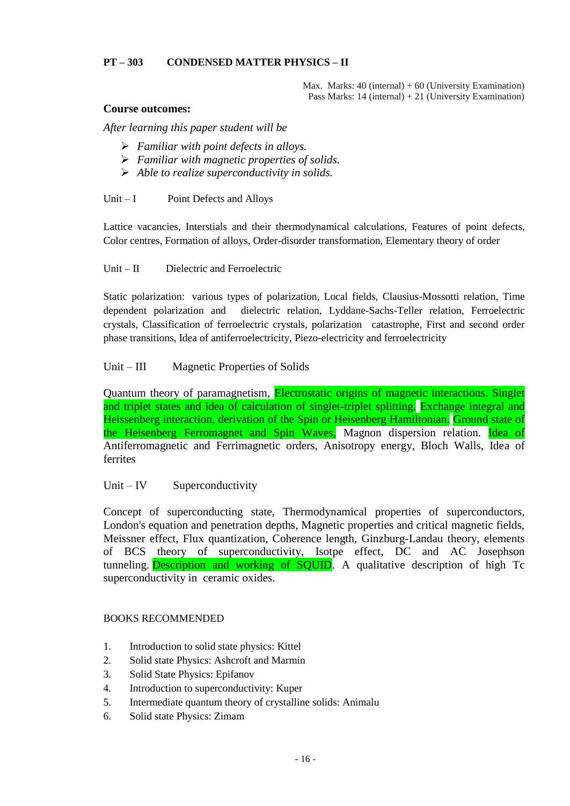# **PT – 303 CONDENSED MATTER PHYSICS – II**

Max. Marks:  $40$  (internal) +  $60$  (University Examination) Pass Marks: 14 (internal) + 21 (University Examination)

#### **Course outcomes:**

*After learning this paper student will be* 

- *Familiar with point defects in alloys.*
- *Familiar with magnetic properties of solids.*
- *Able to realize superconductivity in solids.*

Unit  $-I$  Point Defects and Alloys

Lattice vacancies, Interstials and their thermodynamical calculations, Features of point defects, Color centres, Formation of alloys, Order-disorder transformation, Elementary theory of order

Unit – II Dielectric and Ferroelectric

Static polarization: various types of polarization, Local fields, Clausius-Mossotti relation, Time dependent polarization and dielectric relation, Lyddane-Sachs-Teller relation, Ferroelectric crystals, Classification of ferroelectric crystals, polarization catastrophe, First and second order phase transitions, Idea of antiferroelectricity, Piezo-electricity and ferroelectricity

# Unit – III Magnetic Properties of Solids

Quantum theory of paramagnetism, Electrostatic origins of magnetic interactions. Singlet and triplet states and idea of calculation of singlet-triplet splitting. Exchange integral and Heissenberg interaction, derivation of the Spin or Heisenberg Hamiltonian. Ground state of the Heisenberg Ferromagnet and Spin Waves, Magnon dispersion relation. Idea of Antiferromagnetic and Ferrimagnetic orders, Anisotropy energy, Bloch Walls, Idea of ferrites

# Unit – IV Superconductivity

Concept of superconducting state, Thermodynamical properties of superconductors, London's equation and penetration depths, Magnetic properties and critical magnetic fields, Meissner effect, Flux quantization, Coherence length, Ginzburg-Landau theory, elements of BCS theory of superconductivity, Isotpe effect, DC and AC Josephson tunneling. Description and working of SQUID. A qualitative description of high Tc superconductivity in ceramic oxides.

- 1. Introduction to solid state physics: Kittel
- 2. Solid state Physics: Ashcroft and Marmin
- 3. Solid State Physics: Epifanov
- 4. Introduction to superconductivity: Kuper
- 5. Intermediate quantum theory of crystalline solids: Animalu
- 6. Solid state Physics: Zimam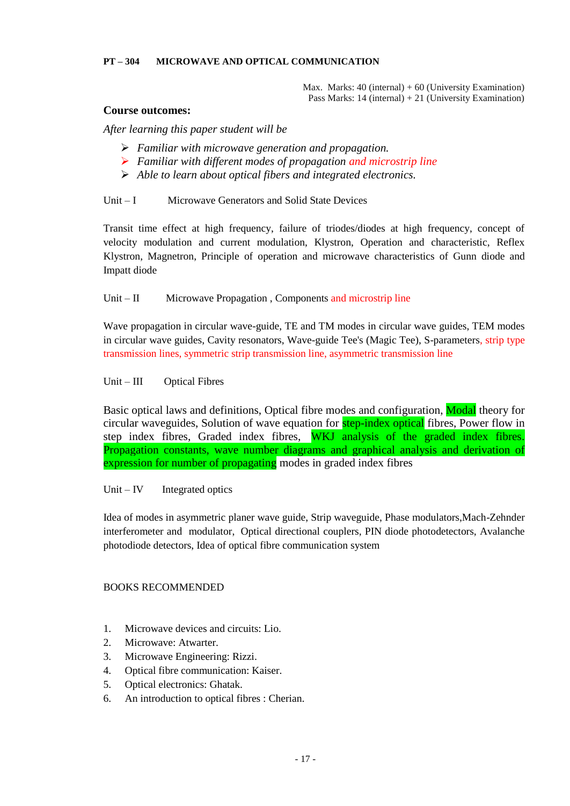#### **PT – 304 MICROWAVE AND OPTICAL COMMUNICATION**

Max. Marks:  $40$  (internal) +  $60$  (University Examination) Pass Marks: 14 (internal) + 21 (University Examination)

#### **Course outcomes:**

*After learning this paper student will be* 

- *Familiar with microwave generation and propagation.*
- *Familiar with different modes of propagation and microstrip line*
- *Able to learn about optical fibers and integrated electronics.*

#### Unit – I Microwave Generators and Solid State Devices

Transit time effect at high frequency, failure of triodes/diodes at high frequency, concept of velocity modulation and current modulation, Klystron, Operation and characteristic, Reflex Klystron, Magnetron, Principle of operation and microwave characteristics of Gunn diode and Impatt diode

#### Unit – II Microwave Propagation, Components and microstrip line

Wave propagation in circular wave-guide, TE and TM modes in circular wave guides, TEM modes in circular wave guides, Cavity resonators, Wave-guide Tee's (Magic Tee), S-parameters, strip type transmission lines, symmetric strip transmission line, asymmetric transmission line

#### Unit – III Optical Fibres

Basic optical laws and definitions, Optical fibre modes and configuration, Modal theory for circular waveguides, Solution of wave equation for **step-index optical** fibres, Power flow in step index fibres, Graded index fibres, WKJ analysis of the graded index fibres. Propagation constants, wave number diagrams and graphical analysis and derivation of expression for number of propagating modes in graded index fibres

Unit – IV Integrated optics

Idea of modes in asymmetric planer wave guide, Strip waveguide, Phase modulators,Mach-Zehnder interferometer and modulator, Optical directional couplers, PIN diode photodetectors, Avalanche photodiode detectors, Idea of optical fibre communication system

- 1. Microwave devices and circuits: Lio.
- 2. Microwave: Atwarter.
- 3. Microwave Engineering: Rizzi.
- 4. Optical fibre communication: Kaiser.
- 5. Optical electronics: Ghatak.
- 6. An introduction to optical fibres : Cherian.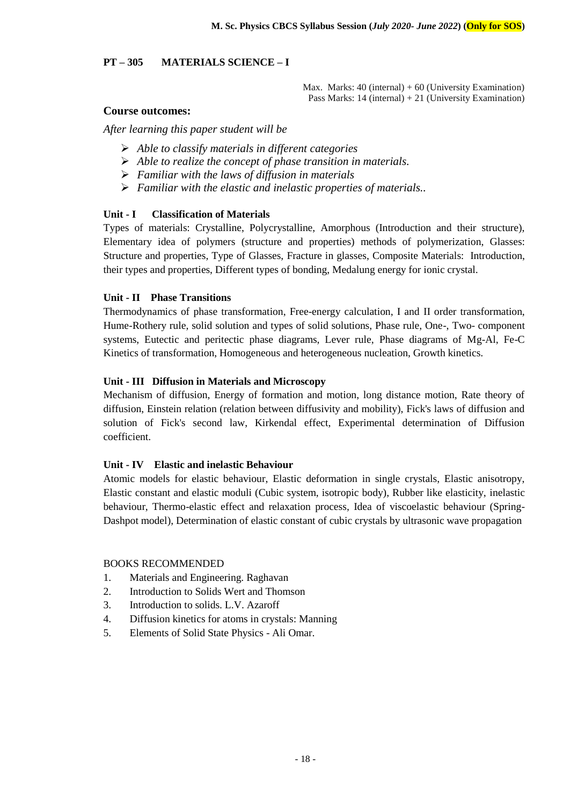# **PT – 305 MATERIALS SCIENCE – I**

Max. Marks:  $40$  (internal) +  $60$  (University Examination) Pass Marks: 14 (internal) + 21 (University Examination)

## **Course outcomes:**

*After learning this paper student will be* 

- *Able to classify materials in different categories*
- *Able to realize the concept of phase transition in materials.*
- *Familiar with the laws of diffusion in materials*
- *Familiar with the elastic and inelastic properties of materials..*

#### **Unit - I Classification of Materials**

Types of materials: Crystalline, Polycrystalline, Amorphous (Introduction and their structure), Elementary idea of polymers (structure and properties) methods of polymerization, Glasses: Structure and properties, Type of Glasses, Fracture in glasses, Composite Materials: Introduction, their types and properties, Different types of bonding, Medalung energy for ionic crystal.

#### **Unit - II Phase Transitions**

Thermodynamics of phase transformation, Free-energy calculation, I and II order transformation, Hume-Rothery rule, solid solution and types of solid solutions, Phase rule, One-, Two- component systems, Eutectic and peritectic phase diagrams, Lever rule, Phase diagrams of Mg-Al, Fe-C Kinetics of transformation, Homogeneous and heterogeneous nucleation, Growth kinetics.

# **Unit - III Diffusion in Materials and Microscopy**

Mechanism of diffusion, Energy of formation and motion, long distance motion, Rate theory of diffusion, Einstein relation (relation between diffusivity and mobility), Fick's laws of diffusion and solution of Fick's second law, Kirkendal effect, Experimental determination of Diffusion coefficient.

#### **Unit - IV Elastic and inelastic Behaviour**

Atomic models for elastic behaviour, Elastic deformation in single crystals, Elastic anisotropy, Elastic constant and elastic moduli (Cubic system, isotropic body), Rubber like elasticity, inelastic behaviour, Thermo-elastic effect and relaxation process, Idea of viscoelastic behaviour (Spring-Dashpot model), Determination of elastic constant of cubic crystals by ultrasonic wave propagation

- 1. Materials and Engineering. Raghavan
- 2. Introduction to Solids Wert and Thomson
- 3. Introduction to solids. L.V. Azaroff
- 4. Diffusion kinetics for atoms in crystals: Manning
- 5. Elements of Solid State Physics Ali Omar.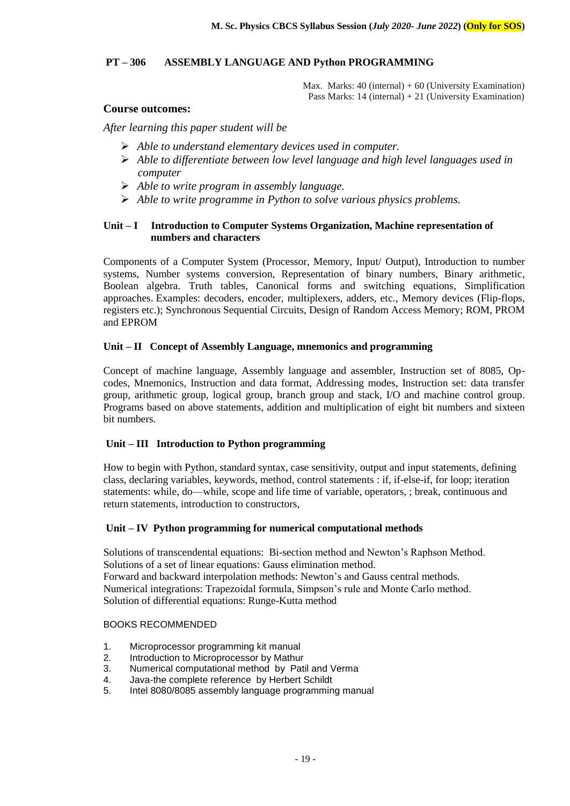# **PT – 306 ASSEMBLY LANGUAGE AND Python PROGRAMMING**

Max. Marks:  $40$  (internal) +  $60$  (University Examination) Pass Marks: 14 (internal) + 21 (University Examination)

#### **Course outcomes:**

*After learning this paper student will be* 

- *Able to understand elementary devices used in computer.*
- *Able to differentiate between low level language and high level languages used in computer*
- *Able to write program in assembly language.*
- *Able to write programme in Python to solve various physics problems.*

# **Unit – I Introduction to Computer Systems Organization, Machine representation of numbers and characters**

Components of a Computer System (Processor, Memory, Input/ Output), Introduction to number systems, Number systems conversion, Representation of binary numbers, Binary arithmetic, Boolean algebra. Truth tables, Canonical forms and switching equations, Simplification approaches. Examples: decoders, encoder, multiplexers, adders, etc., Memory devices (Flip-flops, registers etc.); Synchronous Sequential Circuits, Design of Random Access Memory; ROM, PROM and EPROM

# **Unit – II Concept of Assembly Language, mnemonics and programming**

Concept of machine language, Assembly language and assembler, Instruction set of 8085, Opcodes, Mnemonics, Instruction and data format, Addressing modes, Instruction set: data transfer group, arithmetic group, logical group, branch group and stack, I/O and machine control group. Programs based on above statements, addition and multiplication of eight bit numbers and sixteen bit numbers.

#### **Unit – III Introduction to Python programming**

How to begin with Python, standard syntax, case sensitivity, output and input statements, defining class, declaring variables, keywords, method, control statements : if, if-else-if, for loop; iteration statements: while, do—while, scope and life time of variable, operators, ; break, continuous and return statements, introduction to constructors,

#### **Unit – IV Python programming for numerical computational methods**

Solutions of transcendental equations: Bi-section method and Newton's Raphson Method. Solutions of a set of linear equations: Gauss elimination method. Forward and backward interpolation methods: Newton's and Gauss central methods. Numerical integrations: Trapezoidal formula, Simpson's rule and Monte Carlo method. Solution of differential equations: Runge-Kutta method

- 1. Microprocessor programming kit manual
- 2. Introduction to Microprocessor by Mathur
- 3. Numerical computational method by Patil and Verma
- 4. Java-the complete reference by Herbert Schildt
- 5. Intel 8080/8085 assembly language programming manual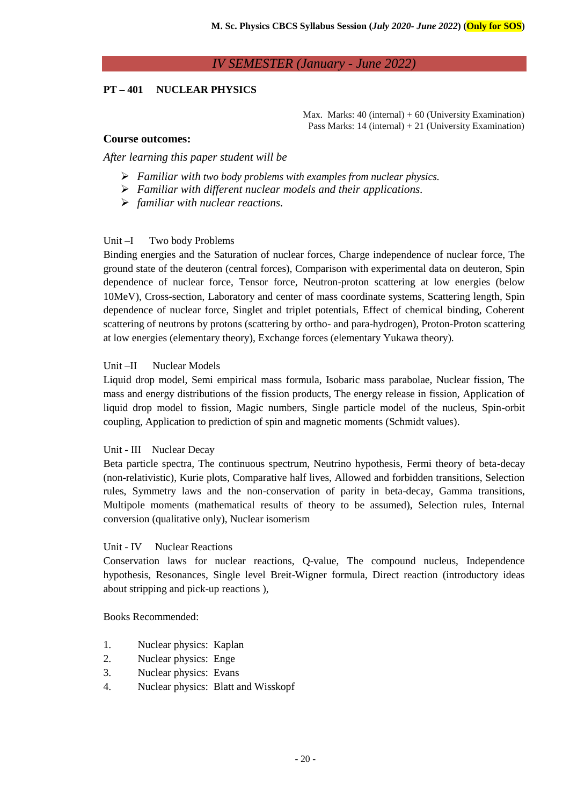# *IV SEMESTER (January - June 2022)*

# **PT – 401 NUCLEAR PHYSICS**

Max. Marks:  $40$  (internal) +  $60$  (University Examination) Pass Marks: 14 (internal) + 21 (University Examination)

#### **Course outcomes:**

*After learning this paper student will be* 

- *Familiar with two body problems with examples from nuclear physics.*
- *Familiar with different nuclear models and their applications.*
- *familiar with nuclear reactions.*

#### Unit –I Two body Problems

Binding energies and the Saturation of nuclear forces, Charge independence of nuclear force, The ground state of the deuteron (central forces), Comparison with experimental data on deuteron, Spin dependence of nuclear force, Tensor force, Neutron-proton scattering at low energies (below 10MeV), Cross-section, Laboratory and center of mass coordinate systems, Scattering length, Spin dependence of nuclear force, Singlet and triplet potentials, Effect of chemical binding, Coherent scattering of neutrons by protons (scattering by ortho- and para-hydrogen), Proton-Proton scattering at low energies (elementary theory), Exchange forces (elementary Yukawa theory).

#### Unit –II Nuclear Models

Liquid drop model, Semi empirical mass formula, Isobaric mass parabolae, Nuclear fission, The mass and energy distributions of the fission products, The energy release in fission, Application of liquid drop model to fission, Magic numbers, Single particle model of the nucleus, Spin-orbit coupling, Application to prediction of spin and magnetic moments (Schmidt values).

#### Unit - III Nuclear Decay

Beta particle spectra, The continuous spectrum, Neutrino hypothesis, Fermi theory of beta-decay (non-relativistic), Kurie plots, Comparative half lives, Allowed and forbidden transitions, Selection rules, Symmetry laws and the non-conservation of parity in beta-decay, Gamma transitions, Multipole moments (mathematical results of theory to be assumed), Selection rules, Internal conversion (qualitative only), Nuclear isomerism

#### Unit - IV Nuclear Reactions

Conservation laws for nuclear reactions, Q-value, The compound nucleus, Independence hypothesis, Resonances, Single level Breit-Wigner formula, Direct reaction (introductory ideas about stripping and pick-up reactions ),

- 1. Nuclear physics: Kaplan
- 2. Nuclear physics: Enge
- 3. Nuclear physics: Evans
- 4. Nuclear physics: Blatt and Wisskopf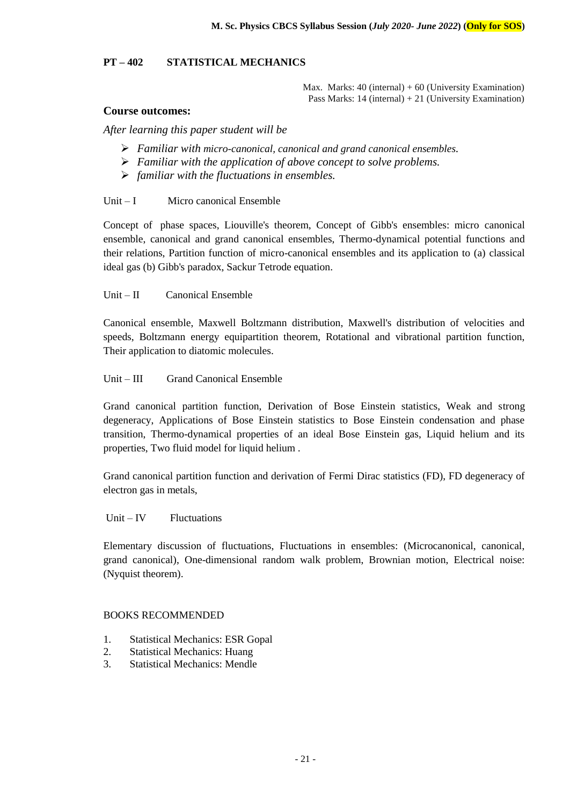# **PT – 402 STATISTICAL MECHANICS**

Max. Marks:  $40$  (internal) +  $60$  (University Examination) Pass Marks: 14 (internal) + 21 (University Examination)

#### **Course outcomes:**

*After learning this paper student will be* 

- *Familiar with micro-canonical, canonical and grand canonical ensembles.*
- *Familiar with the application of above concept to solve problems.*
- *familiar with the fluctuations in ensembles.*

#### Unit – I Micro canonical Ensemble

Concept of phase spaces, Liouville's theorem, Concept of Gibb's ensembles: micro canonical ensemble, canonical and grand canonical ensembles, Thermo-dynamical potential functions and their relations, Partition function of micro-canonical ensembles and its application to (a) classical ideal gas (b) Gibb's paradox, Sackur Tetrode equation.

Unit – II Canonical Ensemble

Canonical ensemble, Maxwell Boltzmann distribution, Maxwell's distribution of velocities and speeds, Boltzmann energy equipartition theorem, Rotational and vibrational partition function, Their application to diatomic molecules.

#### Unit – III Grand Canonical Ensemble

Grand canonical partition function, Derivation of Bose Einstein statistics, Weak and strong degeneracy, Applications of Bose Einstein statistics to Bose Einstein condensation and phase transition, Thermo-dynamical properties of an ideal Bose Einstein gas, Liquid helium and its properties, Two fluid model for liquid helium .

Grand canonical partition function and derivation of Fermi Dirac statistics (FD), FD degeneracy of electron gas in metals,

Unit –  $IV$  Fluctuations

Elementary discussion of fluctuations, Fluctuations in ensembles: (Microcanonical, canonical, grand canonical), One-dimensional random walk problem, Brownian motion, Electrical noise: (Nyquist theorem).

- 1. Statistical Mechanics: ESR Gopal
- 2. Statistical Mechanics: Huang
- 3. Statistical Mechanics: Mendle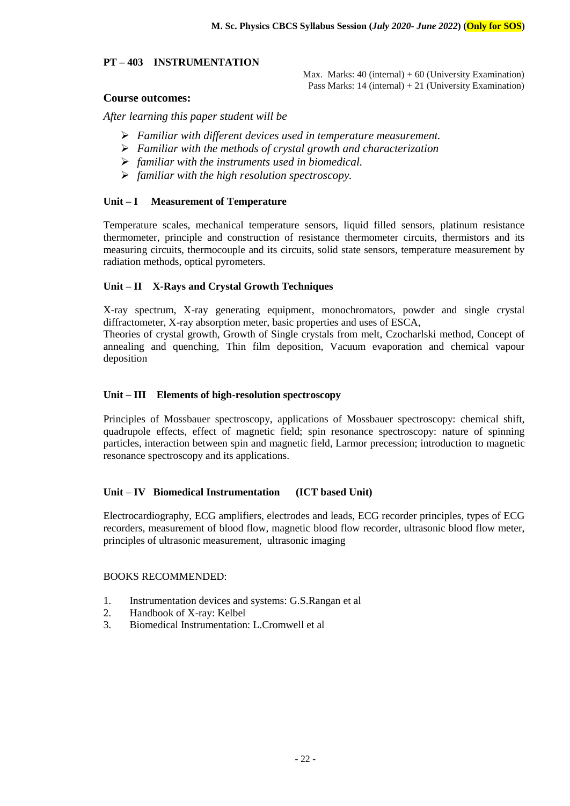#### **PT – 403 INSTRUMENTATION**

Max. Marks:  $40$  (internal) +  $60$  (University Examination) Pass Marks: 14 (internal) + 21 (University Examination)

# **Course outcomes:**

*After learning this paper student will be* 

- *Familiar with different devices used in temperature measurement.*
- *Familiar with the methods of crystal growth and characterization*
- *familiar with the instruments used in biomedical.*
- *familiar with the high resolution spectroscopy.*

#### **Unit – I Measurement of Temperature**

Temperature scales, mechanical temperature sensors, liquid filled sensors, platinum resistance thermometer, principle and construction of resistance thermometer circuits, thermistors and its measuring circuits, thermocouple and its circuits, solid state sensors, temperature measurement by radiation methods, optical pyrometers.

#### **Unit – II X-Rays and Crystal Growth Techniques**

X-ray spectrum, X-ray generating equipment, monochromators, powder and single crystal diffractometer, X-ray absorption meter, basic properties and uses of ESCA,

Theories of crystal growth, Growth of Single crystals from melt, Czocharlski method, Concept of annealing and quenching, Thin film deposition, Vacuum evaporation and chemical vapour deposition

#### **Unit – III Elements of high-resolution spectroscopy**

Principles of Mossbauer spectroscopy, applications of Mossbauer spectroscopy: chemical shift, quadrupole effects, effect of magnetic field; spin resonance spectroscopy: nature of spinning particles, interaction between spin and magnetic field, Larmor precession; introduction to magnetic resonance spectroscopy and its applications.

#### **Unit – IV Biomedical Instrumentation (ICT based Unit)**

Electrocardiography, ECG amplifiers, electrodes and leads, ECG recorder principles, types of ECG recorders, measurement of blood flow, magnetic blood flow recorder, ultrasonic blood flow meter, principles of ultrasonic measurement, ultrasonic imaging

- 1. Instrumentation devices and systems: G.S.Rangan et al
- 2. Handbook of X-ray: Kelbel
- 3. Biomedical Instrumentation: L.Cromwell et al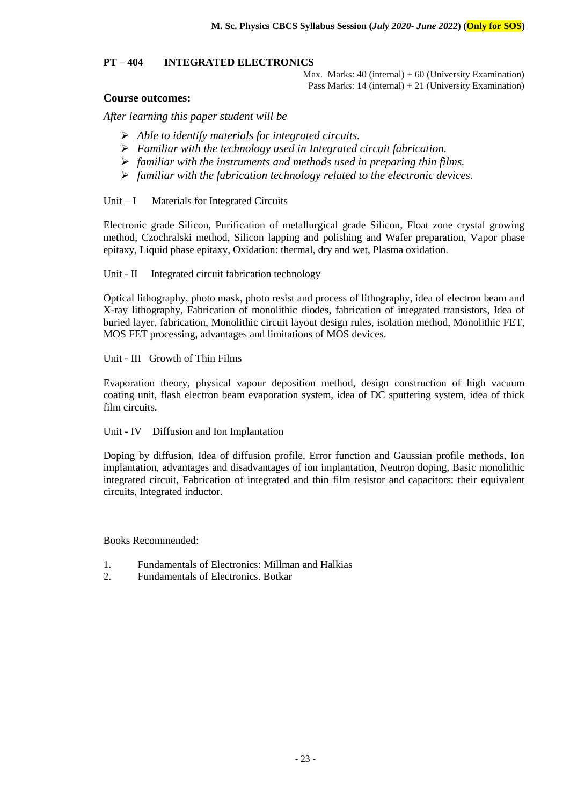## **PT – 404 INTEGRATED ELECTRONICS**

Max. Marks:  $40$  (internal) +  $60$  (University Examination) Pass Marks: 14 (internal) + 21 (University Examination)

# **Course outcomes:**

*After learning this paper student will be* 

- *Able to identify materials for integrated circuits.*
- *Familiar with the technology used in Integrated circuit fabrication.*
- *familiar with the instruments and methods used in preparing thin films.*
- *familiar with the fabrication technology related to the electronic devices.*

Unit – I Materials for Integrated Circuits

Electronic grade Silicon, Purification of metallurgical grade Silicon, Float zone crystal growing method, Czochralski method, Silicon lapping and polishing and Wafer preparation, Vapor phase epitaxy, Liquid phase epitaxy, Oxidation: thermal, dry and wet, Plasma oxidation.

#### Unit - II Integrated circuit fabrication technology

Optical lithography, photo mask, photo resist and process of lithography, idea of electron beam and X-ray lithography, Fabrication of monolithic diodes, fabrication of integrated transistors, Idea of buried layer, fabrication, Monolithic circuit layout design rules, isolation method, Monolithic FET, MOS FET processing, advantages and limitations of MOS devices.

Unit - III Growth of Thin Films

Evaporation theory, physical vapour deposition method, design construction of high vacuum coating unit, flash electron beam evaporation system, idea of DC sputtering system, idea of thick film circuits.

Unit - IV Diffusion and Ion Implantation

Doping by diffusion, Idea of diffusion profile, Error function and Gaussian profile methods, Ion implantation, advantages and disadvantages of ion implantation, Neutron doping, Basic monolithic integrated circuit, Fabrication of integrated and thin film resistor and capacitors: their equivalent circuits, Integrated inductor.

- 1. Fundamentals of Electronics: Millman and Halkias
- 2. Fundamentals of Electronics. Botkar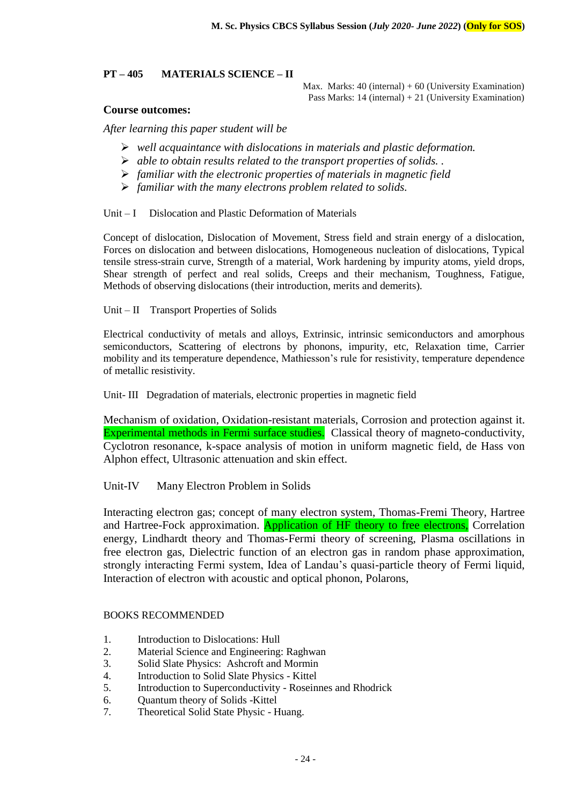#### **PT – 405 MATERIALS SCIENCE – II**

Max. Marks:  $40$  (internal) +  $60$  (University Examination) Pass Marks: 14 (internal) + 21 (University Examination)

#### **Course outcomes:**

*After learning this paper student will be* 

- *well acquaintance with dislocations in materials and plastic deformation.*
- *able to obtain results related to the transport properties of solids. .*
- *familiar with the electronic properties of materials in magnetic field*
- *familiar with the many electrons problem related to solids.*

Unit – I Dislocation and Plastic Deformation of Materials

Concept of dislocation, Dislocation of Movement, Stress field and strain energy of a dislocation, Forces on dislocation and between dislocations, Homogeneous nucleation of dislocations, Typical tensile stress-strain curve, Strength of a material, Work hardening by impurity atoms, yield drops, Shear strength of perfect and real solids, Creeps and their mechanism, Toughness, Fatigue, Methods of observing dislocations (their introduction, merits and demerits).

#### Unit – II Transport Properties of Solids

Electrical conductivity of metals and alloys, Extrinsic, intrinsic semiconductors and amorphous semiconductors, Scattering of electrons by phonons, impurity, etc, Relaxation time, Carrier mobility and its temperature dependence, Mathiesson's rule for resistivity, temperature dependence of metallic resistivity.

Unit- III Degradation of materials, electronic properties in magnetic field

Mechanism of oxidation, Oxidation-resistant materials, Corrosion and protection against it. Experimental methods in Fermi surface studies. Classical theory of magneto-conductivity, Cyclotron resonance, k-space analysis of motion in uniform magnetic field, de Hass von Alphon effect, Ultrasonic attenuation and skin effect.

Unit-IV Many Electron Problem in Solids

Interacting electron gas; concept of many electron system, Thomas-Fremi Theory, Hartree and Hartree-Fock approximation. Application of HF theory to free electrons, Correlation energy, Lindhardt theory and Thomas-Fermi theory of screening, Plasma oscillations in free electron gas, Dielectric function of an electron gas in random phase approximation, strongly interacting Fermi system, Idea of Landau's quasi-particle theory of Fermi liquid, Interaction of electron with acoustic and optical phonon, Polarons,

- 1. Introduction to Dislocations: Hull
- 2. Material Science and Engineering: Raghwan
- 3. Solid Slate Physics: Ashcroft and Mormin
- 4. Introduction to Solid Slate Physics Kittel
- 5. Introduction to Superconductivity Roseinnes and Rhodrick
- 6. Quantum theory of Solids -Kittel
- 7. Theoretical Solid State Physic Huang.